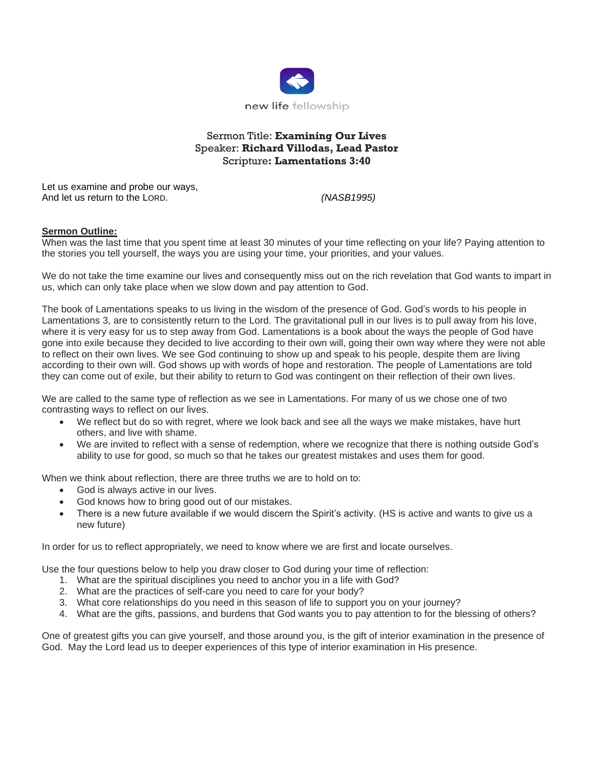

## Sermon Title: **Examining Our Lives** Speaker: **Richard Villodas, Lead Pastor** Scripture**: Lamentations 3:40**

Let us examine and probe our ways, And let us return to the LORD. *(NASB1995)*

## **Sermon Outline:**

When was the last time that you spent time at least 30 minutes of your time reflecting on your life? Paying attention to the stories you tell yourself, the ways you are using your time, your priorities, and your values.

We do not take the time examine our lives and consequently miss out on the rich revelation that God wants to impart in us, which can only take place when we slow down and pay attention to God.

The book of Lamentations speaks to us living in the wisdom of the presence of God. God's words to his people in Lamentations 3, are to consistently return to the Lord. The gravitational pull in our lives is to pull away from his love, where it is very easy for us to step away from God. Lamentations is a book about the ways the people of God have gone into exile because they decided to live according to their own will, going their own way where they were not able to reflect on their own lives. We see God continuing to show up and speak to his people, despite them are living according to their own will. God shows up with words of hope and restoration. The people of Lamentations are told they can come out of exile, but their ability to return to God was contingent on their reflection of their own lives.

We are called to the same type of reflection as we see in Lamentations. For many of us we chose one of two contrasting ways to reflect on our lives.

- We reflect but do so with regret, where we look back and see all the ways we make mistakes, have hurt others, and live with shame.
- We are invited to reflect with a sense of redemption, where we recognize that there is nothing outside God's ability to use for good, so much so that he takes our greatest mistakes and uses them for good.

When we think about reflection, there are three truths we are to hold on to:

- God is always active in our lives.
- God knows how to bring good out of our mistakes.
- There is a new future available if we would discern the Spirit's activity. (HS is active and wants to give us a new future)

In order for us to reflect appropriately, we need to know where we are first and locate ourselves.

Use the four questions below to help you draw closer to God during your time of reflection:

- 1. What are the spiritual disciplines you need to anchor you in a life with God?
- 2. What are the practices of self-care you need to care for your body?
- 3. What core relationships do you need in this season of life to support you on your journey?
- 4. What are the gifts, passions, and burdens that God wants you to pay attention to for the blessing of others?

One of greatest gifts you can give yourself, and those around you, is the gift of interior examination in the presence of God. May the Lord lead us to deeper experiences of this type of interior examination in His presence.